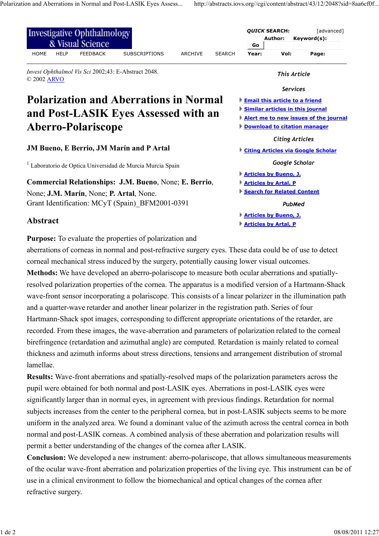**Articles by Artal, P**

**Articles by Bueno, J. Articles by Artal, P**

**Search for Related Content**

*PubMed*

| Investigative Ophthalmology<br>& Visual Science                                                          | <b>QUICK SEARCH:</b><br>[advanced]<br>Author:<br>Keyword(s):<br>Go |
|----------------------------------------------------------------------------------------------------------|--------------------------------------------------------------------|
| <b>SUBSCRIPTIONS</b><br><b>HOME</b><br><b>HELP</b><br><b>FEEDBACK</b><br><b>ARCHIVE</b><br><b>SEARCH</b> | Vol:<br>Year:<br>Page:                                             |
| <i>Invest Ophthalmol Vis Sci</i> 2002;43: E-Abstract 2048.<br>© 2002 ARVO                                | This Article                                                       |
|                                                                                                          | <b>Services</b>                                                    |
| <b>Polarization and Aberrations in Normal</b>                                                            | <b>Email this article to a friend</b>                              |
| and Post-LASIK Eyes Assessed with an                                                                     | Similar articles in this journal                                   |
|                                                                                                          | Alert me to new issues of the journal                              |
| <b>Aberro-Polariscope</b>                                                                                | <b>Download to citation manager</b>                                |
|                                                                                                          | <b>Citing Articles</b>                                             |
| <b>JM Bueno, E Berrio, JM Marín and P Artal</b>                                                          | Citing Articles via Google Scholar                                 |
| <sup>1</sup> Laboratorio de Optica Universidad de Murcia Murcia Spain                                    | Google Scholar                                                     |
|                                                                                                          | <b>Articles by Bueno, J.</b>                                       |

**Commercial Relationships: J.M. Bueno**, None; **E. Berrio**, None; **J.M. Marín**, None; **P. Artal**, None. Grant Identification: MCyT (Spain)\_BFM2001-0391

## **Abstract**

**Purpose:** To evaluate the properties of polarization and

aberrations of corneas in normal and post-refractive surgery eyes. These data could be of use to detect corneal mechanical stress induced by the surgery, potentially causing lower visual outcomes. **Methods:** We have developed an aberro-polariscope to measure both ocular aberrations and spatiallyresolved polarization properties of the cornea. The apparatus is a modified version of a Hartmann-Shack wave-front sensor incorporating a polariscope. This consists of a linear polarizer in the illumination path and a quarter-wave retarder and another linear polarizer in the registration path. Series of four Hartmann-Shack spot images, corresponding to different appropriate orientations of the retarder, are recorded. From these images, the wave-aberration and parameters of polarization related to the corneal birefringence (retardation and azimuthal angle) are computed. Retardation is mainly related to corneal thickness and azimuth informs about stress directions, tensions and arrangement distribution of stromal lamellae.

**Results:** Wave-front aberrations and spatially-resolved maps of the polarization parameters across the pupil were obtained for both normal and post-LASIK eyes. Aberrations in post-LASIK eyes were significantly larger than in normal eyes, in agreement with previous findings. Retardation for normal subjects increases from the center to the peripheral cornea, but in post-LASIK subjects seems to be more uniform in the analyzed area. We found a dominant value of the azimuth across the central cornea in both normal and post-LASIK corneas. A combined analysis of these aberration and polarization results will permit a better understanding of the changes of the cornea after LASIK.

**Conclusion:** We developed a new instrument: aberro-polariscope, that allows simultaneous measurements of the ocular wave-front aberration and polarization properties of the living eye. This instrument can be of use in a clinical environment to follow the biomechanical and optical changes of the cornea after refractive surgery.